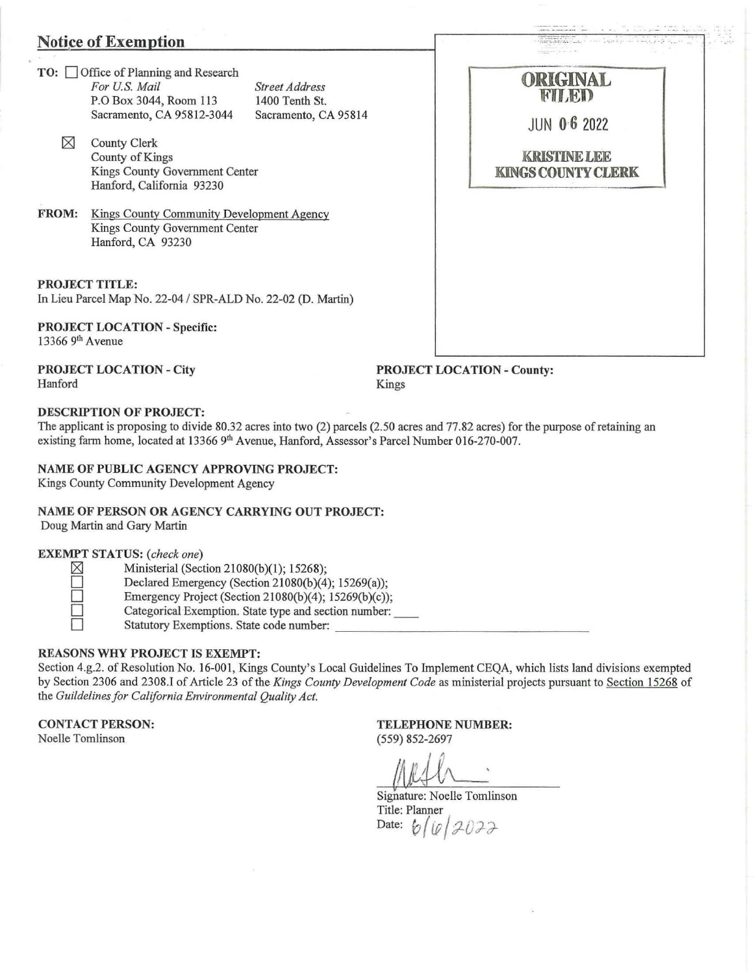### Notice of Exemption

- TO: Office of Planning and Research *For U.S. Mail*  P.O Box 3044, Room 113 Sacramento, CA 95812-3044 *Street Address*  1400 Tenth *St.*  Sacramento, CA 95814
	- $\boxtimes$  County Clerk County of Kings Kings County Government Center Hanford, California 93230
- FROM: Kings County Community Development Agency Kings County Government Center Hanford, CA 93230

PROJECT TITLE:

In Lieu Parcel Map No. 22-04 / SPR-ALD No. 22-02 (D. Martin)

PROJECT LOCATION- Specific: 13366 9th Avenue

PROJECT LOCATION- City Hanford

PROJECT LOCATION - County: Kings

### DESCRIPTION OF PROJECT:

The applicant is proposing to divide 80.32 acres into two (2) parcels (2.50 acres and 77.82 acres) for the purpose of retaining an existing farm home, located at 13366 9<sup>th</sup> Avenue, Hanford, Assessor's Parcel Number 016-270-007.

#### NAME OF PUBLIC AGENCY APPROVING PROJECT:

Kings County Community Development Agency

## NAME OF PERSON OR AGENCY CARRYING OUT PROJECT:

Doug Martin and Gary Martin

### EXEMPT STATUS: *(check one)*

 $\boxtimes$  Ministerial (Section 21080(b)(1); 15268);

- Declared Emergency (Section 21080(b)(4); 15269(a));
- Emergency Project (Section 21080(b)(4); 15269(b)(c));
- D Categorical Exemption. State type and section number: \_\_ D Statutory Exemptions. State code number: \_\_\_\_\_ \_\_\_\_\_\_ \_ \_\_\_\_ \_

### REASONS WHY PROJECT IS EXEMPT:

Section 4.g.2. of Resolution No. 16-001, Kings County's Local Guidelines To Implement CEQA, which lists land divisions exempted by Section 2306 and 2308.! of Article 23 of the *Kings County Development Code* as ministerial projects pursuant to Section 15268 of the *Guildelines for California Environmental Quality Act.* 

CONTACT PERSON:

Noelle Tomlinson

TELEPHONE NUMBER: (559) 852-2697

Signature: Noelle Tomlinson Title: Planner Date:  $b / [0 / 2022$